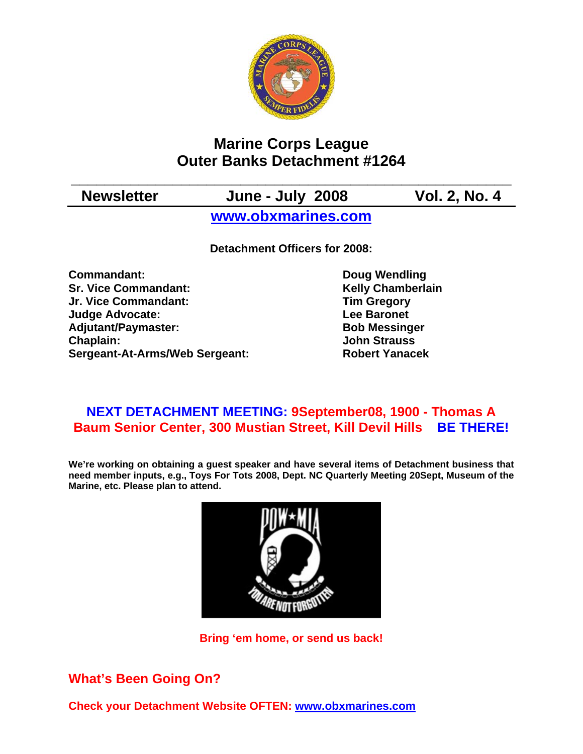

# **Marine Corps League Outer Banks Detachment #1264**

**Newsletter June - July 2008 Vol. 2, No. 4** 

**\_\_\_\_\_\_\_\_\_\_\_\_\_\_\_\_\_\_\_\_\_\_\_\_\_\_\_\_\_\_\_\_\_\_\_\_\_\_\_\_\_\_\_\_\_\_\_\_\_\_\_\_** 

**www.obxmarines.com**

**Detachment Officers for 2008:** 

**Commandant:** Doug Wendling **Sr. Vice Commandant:** Kelly Chamberlain **Jr. Vice Commandant: Tim Gregory Judge Advocate:** The Contract Contract Lee Baronet Adjutant/Paymaster: Bob Messinger **Chaplain: John Strauss Sergeant-At-Arms/Web Sergeant: Robert Yanacek**

## **NEXT DETACHMENT MEETING: 9September08, 1900 - Thomas A Baum Senior Center, 300 Mustian Street, Kill Devil Hills BE THERE!**

**We're working on obtaining a guest speaker and have several items of Detachment business that need member inputs, e.g., Toys For Tots 2008, Dept. NC Quarterly Meeting 20Sept, Museum of the Marine, etc. Please plan to attend.** 



**Bring 'em home, or send us back!** 

## **What's Been Going On?**

**Check your Detachment Website OFTEN: www.obxmarines.com**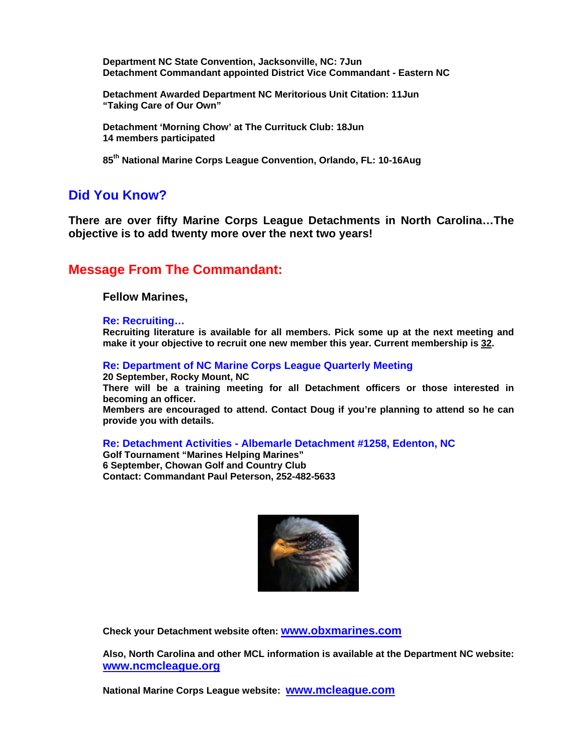**Department NC State Convention, Jacksonville, NC: 7Jun Detachment Commandant appointed District Vice Commandant - Eastern NC** 

**Detachment Awarded Department NC Meritorious Unit Citation: 11Jun "Taking Care of Our Own"** 

**Detachment 'Morning Chow' at The Currituck Club: 18Jun 14 members participated** 

**85th National Marine Corps League Convention, Orlando, FL: 10-16Aug** 

### **Did You Know?**

**There are over fifty Marine Corps League Detachments in North Carolina…The objective is to add twenty more over the next two years!** 

### **Message From The Commandant:**

#### **Fellow Marines,**

#### **Re: Recruiting…**

**Recruiting literature is available for all members. Pick some up at the next meeting and make it your objective to recruit one new member this year. Current membership is 32.** 

#### **Re: Department of NC Marine Corps League Quarterly Meeting**

**20 September, Rocky Mount, NC There will be a training meeting for all Detachment officers or those interested in becoming an officer. Members are encouraged to attend. Contact Doug if you're planning to attend so he can provide you with details.** 

**Re: Detachment Activities - Albemarle Detachment #1258, Edenton, NC** 

**Golf Tournament "Marines Helping Marines" 6 September, Chowan Golf and Country Club Contact: Commandant Paul Peterson, 252-482-5633** 



**Check your Detachment website often: www.obxmarines.com**

**Also, North Carolina and other MCL information is available at the Department NC website: www.ncmcleague.org**

**National Marine Corps League website: www.mcleague.com**